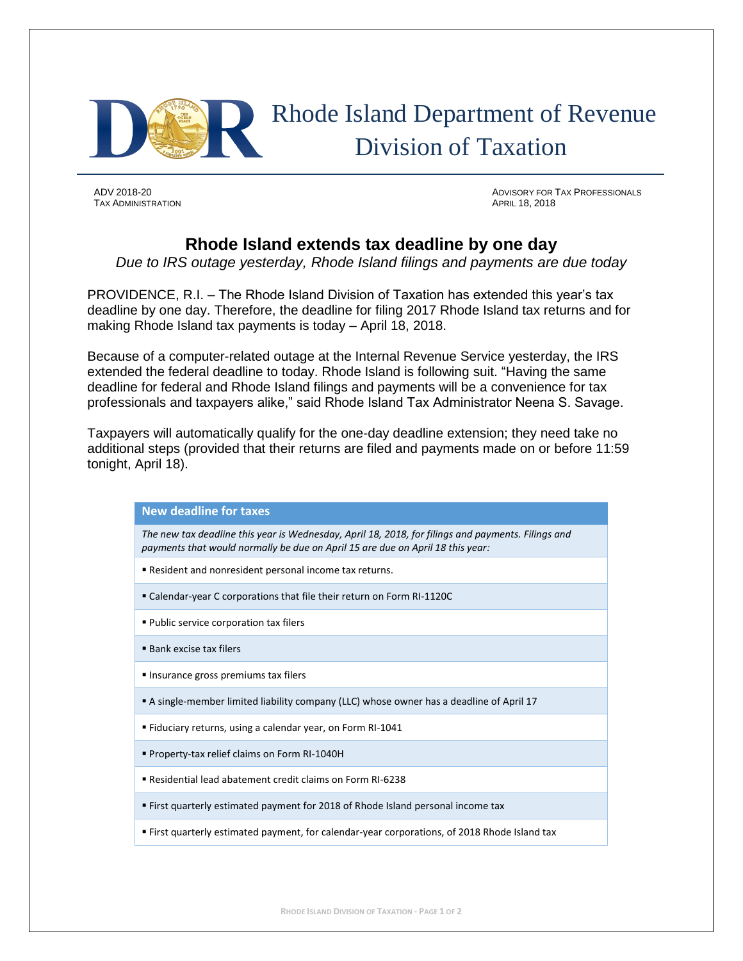

## Rhode Island Department of Revenue Division of Taxation

**TAX ADMINISTRATION** 

ADV 2018-20 ADVISORY FOR TAX PROFESSIONALS

## **Rhode Island extends tax deadline by one day**

*Due to IRS outage yesterday, Rhode Island filings and payments are due today*

PROVIDENCE, R.I. – The Rhode Island Division of Taxation has extended this year's tax deadline by one day. Therefore, the deadline for filing 2017 Rhode Island tax returns and for making Rhode Island tax payments is today – April 18, 2018.

Because of a computer-related outage at the Internal Revenue Service yesterday, the IRS extended the federal deadline to today. Rhode Island is following suit. "Having the same deadline for federal and Rhode Island filings and payments will be a convenience for tax professionals and taxpayers alike," said Rhode Island Tax Administrator Neena S. Savage.

Taxpayers will automatically qualify for the one-day deadline extension; they need take no additional steps (provided that their returns are filed and payments made on or before 11:59 tonight, April 18).

## **New deadline for taxes**

*The new tax deadline this year is Wednesday, April 18, 2018, for filings and payments. Filings and payments that would normally be due on April 15 are due on April 18 this year:*

- Resident and nonresident personal income tax returns.
- Calendar-year C corporations that file their return on Form RI-1120C
- Public service corporation tax filers
- Bank excise tax filers
- **Insurance gross premiums tax filers**
- A single-member limited liability company (LLC) whose owner has a deadline of April 17
- Fiduciary returns, using a calendar year, on Form RI-1041
- Property-tax relief claims on Form RI-1040H
- Residential lead abatement credit claims on Form RI-6238
- **Eirst quarterly estimated payment for 2018 of Rhode Island personal income tax**
- First quarterly estimated payment, for calendar-year corporations, of 2018 Rhode Island tax